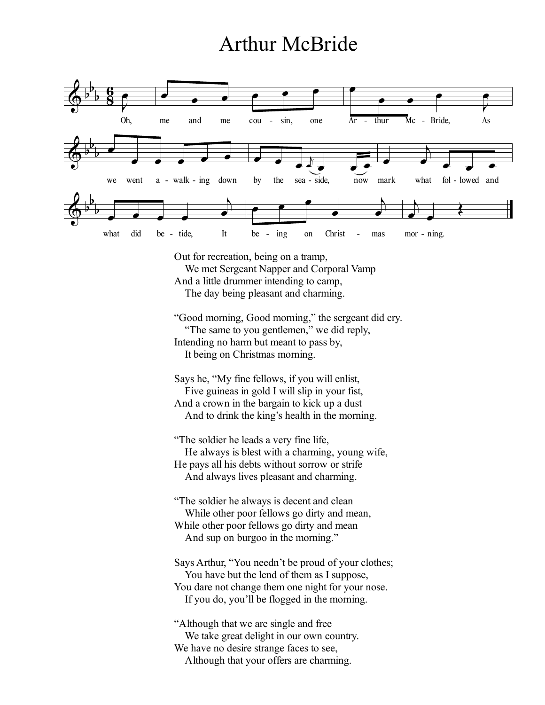## Arthur McBride